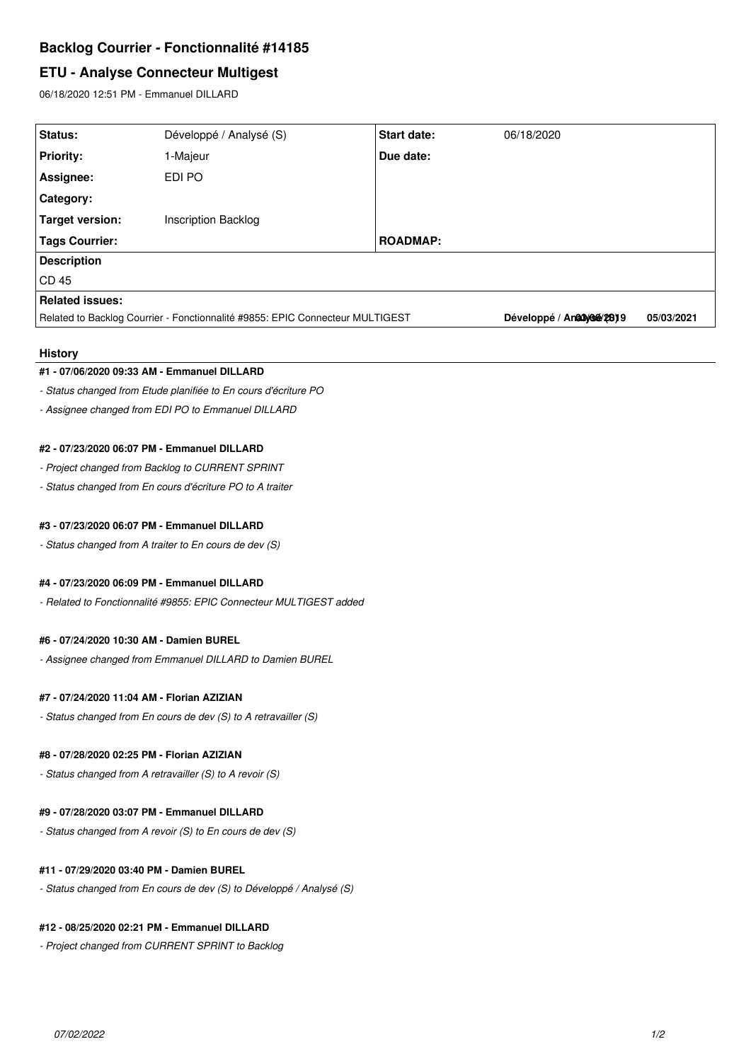# **Backlog Courrier - Fonctionnalité #14185**

# **ETU - Analyse Connecteur Multigest**

06/18/2020 12:51 PM - Emmanuel DILLARD

| Status:                                                                       | Développé / Analysé (S)    | <b>Start date:</b> | 06/18/2020                |            |
|-------------------------------------------------------------------------------|----------------------------|--------------------|---------------------------|------------|
| <b>Priority:</b>                                                              | 1-Majeur                   | Due date:          |                           |            |
| Assignee:                                                                     | EDI PO                     |                    |                           |            |
| Category:                                                                     |                            |                    |                           |            |
| Target version:                                                               | <b>Inscription Backlog</b> |                    |                           |            |
| Tags Courrier:                                                                |                            | <b>ROADMAP:</b>    |                           |            |
| <b>Description</b>                                                            |                            |                    |                           |            |
| CD45                                                                          |                            |                    |                           |            |
| <b>Related issues:</b>                                                        |                            |                    |                           |            |
| Related to Backlog Courrier - Fonctionnalité #9855: EPIC Connecteur MULTIGEST |                            |                    | Développé / Anadyone/2819 | 05/03/2021 |
|                                                                               |                            |                    |                           |            |

### **History**

#### **#1 - 07/06/2020 09:33 AM - Emmanuel DILLARD**

*- Status changed from Etude planifiée to En cours d'écriture PO*

*- Assignee changed from EDI PO to Emmanuel DILLARD*

### **#2 - 07/23/2020 06:07 PM - Emmanuel DILLARD**

*- Project changed from Backlog to CURRENT SPRINT*

*- Status changed from En cours d'écriture PO to A traiter*

## **#3 - 07/23/2020 06:07 PM - Emmanuel DILLARD**

*- Status changed from A traiter to En cours de dev (S)*

#### **#4 - 07/23/2020 06:09 PM - Emmanuel DILLARD**

*- Related to Fonctionnalité #9855: EPIC Connecteur MULTIGEST added*

## **#6 - 07/24/2020 10:30 AM - Damien BUREL**

*- Assignee changed from Emmanuel DILLARD to Damien BUREL*

## **#7 - 07/24/2020 11:04 AM - Florian AZIZIAN**

*- Status changed from En cours de dev (S) to A retravailler (S)*

### **#8 - 07/28/2020 02:25 PM - Florian AZIZIAN**

*- Status changed from A retravailler (S) to A revoir (S)*

## **#9 - 07/28/2020 03:07 PM - Emmanuel DILLARD**

*- Status changed from A revoir (S) to En cours de dev (S)*

#### **#11 - 07/29/2020 03:40 PM - Damien BUREL**

*- Status changed from En cours de dev (S) to Développé / Analysé (S)*

#### **#12 - 08/25/2020 02:21 PM - Emmanuel DILLARD**

*- Project changed from CURRENT SPRINT to Backlog*